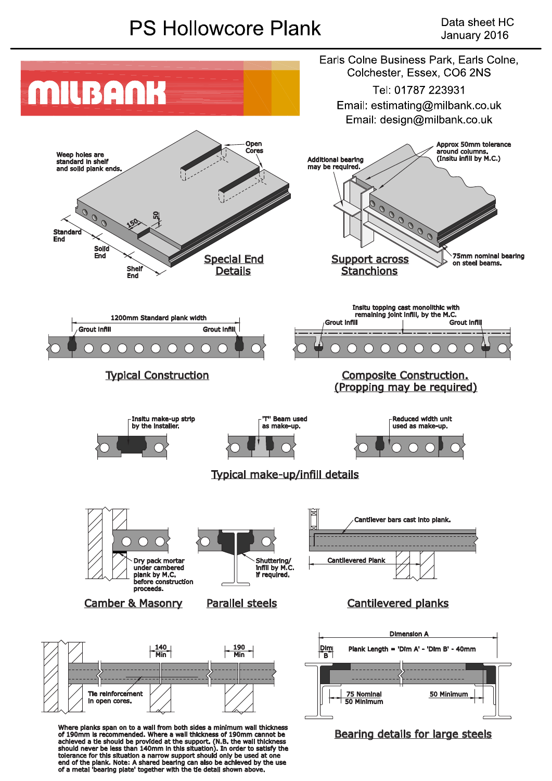## **PS Hollowcore Plank**



end of the plank. Note: A shared bearing can also be achieved by the use<br>of a metal 'bearing plate' together with the tie detail shown above.